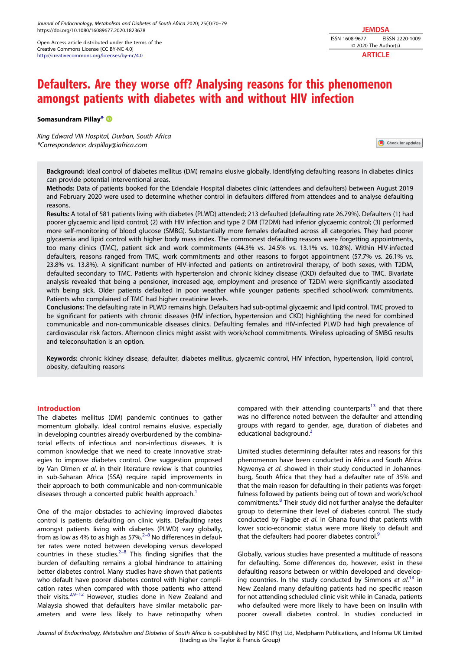Open Access article distributed under the terms of the Creative Commons License [CC BY-NC 4.0] http://creativecommons.org/licenses/by-nc/4.0

# Defaulters. Are they worse off? Analysing reasons for this phenomenon amongst patients with diabetes with and without HIV infection

Somasundram Pillay\* <sup>D</sup>

King Edward VIII Hospital, Durban, South Africa \*Correspondence: drspillay@iafrica.com

Check for updates

Background: Ideal control of diabetes mellitus (DM) remains elusive globally. Identifying defaulting reasons in diabetes clinics can provide potential interventional areas.

Methods: Data of patients booked for the Edendale Hospital diabetes clinic (attendees and defaulters) between August 2019 and February 2020 were used to determine whether control in defaulters differed from attendees and to analyse defaulting reasons.

Results: A total of 581 patients living with diabetes (PLWD) attended; 213 defaulted (defaulting rate 26.79%). Defaulters (1) had poorer glycaemic and lipid control; (2) with HIV infection and type 2 DM (T2DM) had inferior glycaemic control; (3) performed more self-monitoring of blood glucose (SMBG). Substantially more females defaulted across all categories. They had poorer glycaemia and lipid control with higher body mass index. The commonest defaulting reasons were forgetting appointments, too many clinics (TMC), patient sick and work commitments (44.3% vs. 24.5% vs. 13.1% vs. 10.8%). Within HIV-infected defaulters, reasons ranged from TMC, work commitments and other reasons to forgot appointment (57.7% vs. 26.1% vs. 23.8% vs. 13.8%). A significant number of HIV-infected and patients on antiretroviral therapy, of both sexes, with T2DM, defaulted secondary to TMC. Patients with hypertension and chronic kidney disease (CKD) defaulted due to TMC. Bivariate analysis revealed that being a pensioner, increased age, employment and presence of T2DM were significantly associated with being sick. Older patients defaulted in poor weather while younger patients specified school/work commitments. Patients who complained of TMC had higher creatinine levels.

Conclusions: The defaulting rate in PLWD remains high. Defaulters had sub-optimal glycaemic and lipid control. TMC proved to be significant for patients with chronic diseases (HIV infection, hypertension and CKD) highlighting the need for combined communicable and non-communicable diseases clinics. Defaulting females and HIV-infected PLWD had high prevalence of cardiovascular risk factors. Afternoon clinics might assist with work/school commitments. Wireless uploading of SMBG results and teleconsultation is an option.

Keywords: chronic kidney disease, defaulter, diabetes mellitus, glycaemic control, HIV infection, hypertension, lipid control, obesity, defaulting reasons

# Introduction

The diabetes mellitus (DM) pandemic continues to gather momentum globally. Ideal control remains elusive, especially in developing countries already overburdened by the combinatorial effects of infectious and non-infectious diseases. It is common knowledge that we need to create innovative strategies to improve diabetes control. One suggestion proposed by Van Olmen et al. in their literature review is that countries in sub-Saharan Africa (SSA) require rapid improvements in their approach to both communicable and non-communicable diseases through a concerted public health approach.<sup>1</sup>

One of the major obstacles to achieving improved diabetes control is patients defaulting on clinic visits. Defaulting rates amongst patients living with diabetes (PLWD) vary globally, from as low as 4% to as high as  $57\%^{2-8}$  No differences in defaulter rates were noted between developing versus developed countries in these studies.<sup>2–8</sup> This finding signifies that the burden of defaulting remains a global hindrance to attaining better diabetes control. Many studies have shown that patients who default have poorer diabetes control with higher complication rates when compared with those patients who attend their visits. $2.9-12$  However, studies done in New Zealand and Malaysia showed that defaulters have similar metabolic parameters and were less likely to have retinopathy when compared with their attending counterparts<sup>13</sup> and that there was no difference noted between the defaulter and attending groups with regard to gender, age, duration of diabetes and educational background.<sup>3</sup>

Limited studies determining defaulter rates and reasons for this phenomenon have been conducted in Africa and South Africa. Ngwenya et al. showed in their study conducted in Johannesburg, South Africa that they had a defaulter rate of 35% and that the main reason for defaulting in their patients was forgetfulness followed by patients being out of town and work/school commitments.<sup>8</sup> Their study did not further analyse the defaulter group to determine their level of diabetes control. The study conducted by Fiagbe et al. in Ghana found that patients with lower socio-economic status were more likely to default and that the defaulters had poorer diabetes control.<sup>9</sup>

Globally, various studies have presented a multitude of reasons for defaulting. Some differences do, however, exist in these defaulting reasons between or within developed and developing countries. In the study conducted by Simmons et  $al.^{13}$  in New Zealand many defaulting patients had no specific reason for not attending scheduled clinic visit while in Canada, patients who defaulted were more likely to have been on insulin with poorer overall diabetes control. In studies conducted in

Journal of Endocrinology, Metabolism and Diabetes of South Africa is co-published by NISC (Pty) Ltd, Medpharm Publications, and Informa UK Limited (trading as the Taylor & Francis Group)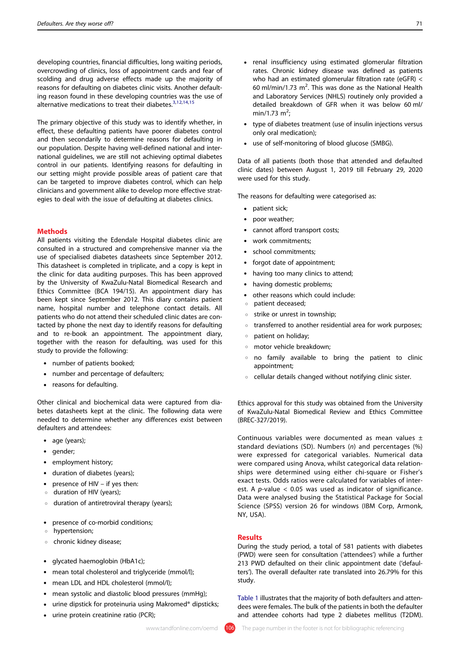developing countries, financial difficulties, long waiting periods, overcrowding of clinics, loss of appointment cards and fear of scolding and drug adverse effects made up the majority of reasons for defaulting on diabetes clinic visits. Another defaulting reason found in these developing countries was the use of alternative medications to treat their diabetes. $3,12,14,15$ 

The primary objective of this study was to identify whether, in effect, these defaulting patients have poorer diabetes control and then secondarily to determine reasons for defaulting in our population. Despite having well-defined national and international guidelines, we are still not achieving optimal diabetes control in our patients. Identifying reasons for defaulting in our setting might provide possible areas of patient care that can be targeted to improve diabetes control, which can help clinicians and government alike to develop more effective strategies to deal with the issue of defaulting at diabetes clinics.

# Methods

All patients visiting the Edendale Hospital diabetes clinic are consulted in a structured and comprehensive manner via the use of specialised diabetes datasheets since September 2012. This datasheet is completed in triplicate, and a copy is kept in the clinic for data auditing purposes. This has been approved by the University of KwaZulu-Natal Biomedical Research and Ethics Committee (BCA 194/15). An appointment diary has been kept since September 2012. This diary contains patient name, hospital number and telephone contact details. All patients who do not attend their scheduled clinic dates are contacted by phone the next day to identify reasons for defaulting and to re-book an appointment. The appointment diary, together with the reason for defaulting, was used for this study to provide the following:

- . number of patients booked;
- . number and percentage of defaulters;
- . reasons for defaulting.

Other clinical and biochemical data were captured from diabetes datasheets kept at the clinic. The following data were needed to determine whether any differences exist between defaulters and attendees:

- . age (years);
- . gender;
- . employment history;
- . duration of diabetes (years);
- . presence of HIV if yes then:
- duration of HIV (years);
- duration of antiretroviral therapy (years);
- . presence of co-morbid conditions;
- hypertension;
- chronic kidney disease;
- . glycated haemoglobin (HbA1c);
- . mean total cholesterol and triglyceride (mmol/l);
- . mean LDL and HDL cholesterol (mmol/l);
- mean systolic and diastolic blood pressures (mmHg);
- . urine dipstick for proteinuria using Makromed® dipsticks;
- . urine protein creatinine ratio (PCR);
- . renal insufficiency using estimated glomerular filtration rates. Chronic kidney disease was defined as patients who had an estimated glomerular filtration rate (eGFR) < 60 ml/min/1.73  $m^2$ . This was done as the National Health and Laboratory Services (NHLS) routinely only provided a detailed breakdown of GFR when it was below 60 ml/ min/1.73 m<sup>2</sup>: ;
- . type of diabetes treatment (use of insulin injections versus only oral medication);
- . use of self-monitoring of blood glucose (SMBG).

Data of all patients (both those that attended and defaulted clinic dates) between August 1, 2019 till February 29, 2020 were used for this study.

The reasons for defaulting were categorised as:

- . patient sick;
- . poor weather;
- . cannot afford transport costs;
- . work commitments;
- . school commitments;
- . forgot date of appointment;
- . having too many clinics to attend;
- . having domestic problems;
- . other reasons which could include:
- patient deceased;
- strike or unrest in township;
- transferred to another residential area for work purposes;
- patient on holiday;
- motor vehicle breakdown;
- no family available to bring the patient to clinic appointment;
- cellular details changed without notifying clinic sister.

Ethics approval for this study was obtained from the University of KwaZulu-Natal Biomedical Review and Ethics Committee (BREC-327/2019).

Continuous variables were documented as mean values  $\pm$ standard deviations (SD). Numbers  $(n)$  and percentages  $(\%)$ were expressed for categorical variables. Numerical data were compared using Anova, whilst categorical data relationships were determined using either chi-square or Fisher's exact tests. Odds ratios were calculated for variables of interest. A  $p$ -value < 0.05 was used as indicator of significance. Data were analysed busing the Statistical Package for Social Science (SPSS) version 26 for windows (IBM Corp, Armonk, NY, USA).

# **Results**

During the study period, a total of 581 patients with diabetes (PWD) were seen for consultation ('attendees') while a further 213 PWD defaulted on their clinic appointment date ('defaulters'). The overall defaulter rate translated into 26.79% for this study.

Table 1 illustrates that the majority of both defaulters and attendees were females. The bulk of the patients in both the defaulter and attendee cohorts had type 2 diabetes mellitus (T2DM).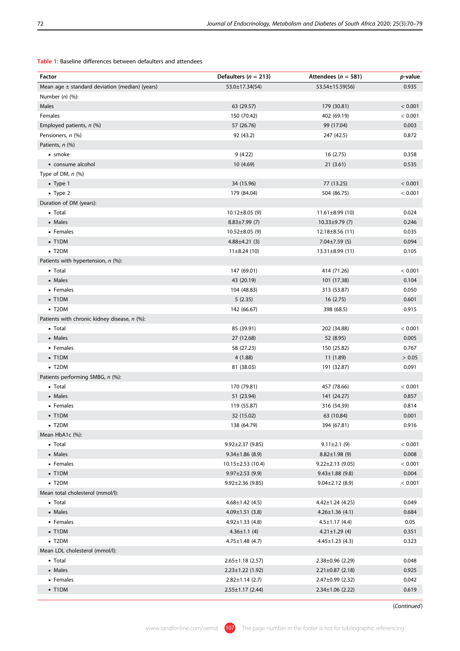Table 1: Baseline differences between defaulters and attendees

| Factor                                             | Defaulters ( $n = 213$ ) | Attendees ( $n = 581$ ) | <i>p</i> -value |
|----------------------------------------------------|--------------------------|-------------------------|-----------------|
| Mean age $\pm$ standard deviation (median) (years) | 53.0±17.34(54)           | 53.54±15.59(56)         | 0.935           |
| Number $(n)$ $(\%)$ :                              |                          |                         |                 |
| Males                                              | 63 (29.57)               | 179 (30.81)             | < 0.001         |
| Females                                            | 150 (70.42)              | 402 (69.19)             | < 0.001         |
| Employed patients, n (%)                           | 57 (26.76)               | 99 (17.04)              | 0.003           |
| Pensioners, n (%)                                  | 92 (43.2)                | 247 (42.5)              | 0.872           |
| Patients, n (%)                                    |                          |                         |                 |
| • smoke                                            | 9(4.22)                  | 16 (2.75)               | 0.358           |
| • consume alcohol                                  | 10 (4.69)                | 21(3.61)                | 0.535           |
| Type of DM, $n$ $(\%)$                             |                          |                         |                 |
| • Type $1$                                         | 34 (15.96)               | 77 (13.25)              | < 0.001         |
| $\bullet$ Type 2                                   | 179 (84.04)              | 504 (86.75)             | < 0.001         |
| Duration of DM (years):                            |                          |                         |                 |
| • Total                                            | $10.12 \pm 8.05$ (9)     | $11.61 \pm 8.99$ (10)   | 0.024           |
| • Males                                            | $8.83 \pm 7.99$ (7)      | $10.33 \pm 9.79$ (7)    | 0.246           |
| • Females                                          | $10.52 \pm 8.05$ (9)     | $12.18 \pm 8.56$ (11)   | 0.035           |
| $\bullet$ T1DM                                     | $4.88 \pm 4.21$ (3)      | $7.04 \pm 7.59$ (5)     | 0.094           |
| $\bullet$ T2DM                                     | $11\pm8.24(10)$          | $13.31 \pm 8.99$ (11)   | 0.105           |
| Patients with hypertension, $n$ (%):               |                          |                         |                 |
| • Total                                            | 147 (69.01)              | 414 (71.26)             | < 0.001         |
| • Males                                            | 43 (20.19)               | 101 (17.38)             | 0.104           |
| • Females                                          | 104 (48.83)              | 313 (53.87)             | 0.050           |
| $\bullet$ T1DM                                     | 5(2.35)                  | 16(2.75)                | 0.601           |
| $\bullet$ T2DM                                     | 142 (66.67)              | 398 (68.5)              | 0.915           |
| Patients with chronic kidney disease, n (%):       |                          |                         |                 |
| • Total                                            | 85 (39.91)               | 202 (34.88)             | < 0.001         |
| • Males                                            | 27 (12.68)               | 52 (8.95)               | 0.005           |
| • Females                                          | 58 (27.23)               | 150 (25.82)             | 0.767           |
| $\bullet$ T1DM                                     | 4(1.88)                  | 11 (1.89)               | > 0.05          |
| $\bullet$ T2DM                                     | 81 (38.03)               | 191 (32.87)             | 0.091           |
| Patients performing SMBG, n (%):                   |                          |                         |                 |
| • Total                                            | 170 (79.81)              | 457 (78.66)             | < 0.001         |
| • Males                                            | 51 (23.94)               | 141 (24.27)             | 0.857           |
| • Females                                          | 119 (55.87)              | 316 (54.39)             | 0.814           |
| $\bullet$ T1DM                                     | 32 (15.02)               | 63 (10.84)              | 0.001           |
| $\bullet$ T2DM                                     | 138 (64.79)              | 394 (67.81)             | 0.916           |
| Mean HbA1c (%):                                    |                          |                         |                 |
| • Total                                            | $9.92 \pm 2.37$ (9.85)   | $9.11 \pm 2.1$ (9)      | < 0.001         |
| • Males                                            | $9.34 \pm 1.86$ (8.9)    | $8.82 \pm 1.98$ (9)     | 0.008           |
| • Females                                          | $10.15 \pm 2.53$ (10.4)  | $9.22 \pm 2.13$ (9.05)  | < 0.001         |
| $\bullet$ T1DM                                     | $9.97 \pm 2.53$ (9.9)    | $9.43 \pm 1.88$ (9.8)   | 0.004           |
| $\bullet$ T2DM                                     | $9.92 \pm 2.36$ (9.85)   | $9.04 \pm 2.12$ (8.9)   | < 0.001         |
| Mean total cholesterol (mmol/l):                   |                          |                         |                 |
| • Total                                            | $4.68 \pm 1.42$ (4.5)    | 4.42±1.24 (4.25)        | 0.049           |
| • Males                                            | $4.09 \pm 1.51$ (3.8)    | $4.26 \pm 1.36$ (4.1)   | 0.684           |
| • Females                                          | $4.92 \pm 1.33$ (4.8)    | $4.5 \pm 1.17$ (4.4)    | 0.05            |
| $\bullet$ T1DM                                     | $4.36 \pm 1.1$ (4)       | $4.21 \pm 1.29$ (4)     | 0.351           |
| $\bullet$ T2DM                                     | $4.75 \pm 1.48$ (4.7)    | $4.45 \pm 1.23$ (4.3)   | 0.323           |
| Mean LDL cholesterol (mmol/l):                     |                          |                         |                 |
| • Total                                            | $2.65 \pm 1.18$ (2.57)   | $2.38 \pm 0.96$ (2.29)  | 0.048           |
| • Males                                            | $2.23 \pm 1.22$ (1.92)   | $2.21 \pm 0.87$ (2.18)  | 0.925           |
| • Females                                          | $2.82 \pm 1.14$ (2.7)    | $2.47 \pm 0.99$ (2.32)  | 0.042           |
| $\bullet$ T1DM                                     | $2.55 \pm 1.17$ (2.44)   | $2.34 \pm 1.06$ (2.22)  | 0.619           |

(Continued)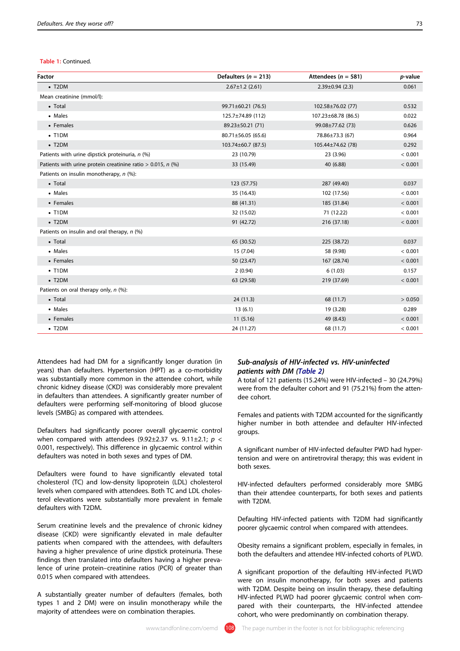### Table 1: Continued.

| Factor                                                         | Defaulters ( $n = 213$ ) | Attendees ( $n = 581$ ) | p-value |
|----------------------------------------------------------------|--------------------------|-------------------------|---------|
| $\bullet$ T2DM                                                 | $2.67 \pm 1.2$ (2.61)    | $2.39 \pm 0.94$ (2.3)   | 0.061   |
| Mean creatinine (mmol/l):                                      |                          |                         |         |
| • Total                                                        | 99.71±60.21 (76.5)       | 102.58±76.02 (77)       | 0.532   |
| • Males                                                        | 125.7±74.89 (112)        | 107.23±68.78 (86.5)     | 0.022   |
| • Females                                                      | 89.23±50.21 (71)         | 99.08±77.62 (73)        | 0.626   |
| $\cdot$ T1DM                                                   | $80.71 \pm 56.05$ (65.6) | 78.86±73.3 (67)         | 0.964   |
| $\bullet$ T2DM                                                 | 103.74±60.7 (87.5)       | 105.44±74.62 (78)       | 0.292   |
| Patients with urine dipstick proteinuria, n (%)                | 23 (10.79)               | 23 (3.96)               | < 0.001 |
| Patients with urine protein creatinine ratio $> 0.015$ , n (%) | 33 (15.49)               | 40 (6.88)               | < 0.001 |
| Patients on insulin monotherapy, n (%):                        |                          |                         |         |
| • Total                                                        | 123 (57.75)              | 287 (49.40)             | 0.037   |
| • Males                                                        | 35 (16.43)               | 102 (17.56)             | < 0.001 |
| • Females                                                      | 88 (41.31)               | 185 (31.84)             | < 0.001 |
| $\bullet$ T1DM                                                 | 32 (15.02)               | 71 (12.22)              | < 0.001 |
| $\bullet$ T <sub>2</sub> DM                                    | 91 (42.72)               | 216 (37.18)             | < 0.001 |
| Patients on insulin and oral therapy, $n$ (%)                  |                          |                         |         |
| • Total                                                        | 65 (30.52)               | 225 (38.72)             | 0.037   |
| • Males                                                        | 15 (7.04)                | 58 (9.98)               | < 0.001 |
| • Females                                                      | 50 (23.47)               | 167 (28.74)             | < 0.001 |
| $\bullet$ T1DM                                                 | 2(0.94)                  | 6(1.03)                 | 0.157   |
| $\bullet$ T2DM                                                 | 63 (29.58)               | 219 (37.69)             | < 0.001 |
| Patients on oral therapy only, n (%):                          |                          |                         |         |
| • Total                                                        | 24 (11.3)                | 68 (11.7)               | > 0.050 |
| • Males                                                        | 13(6.1)                  | 19 (3.28)               | 0.289   |
| • Females                                                      | 11(5.16)                 | 49 (8.43)               | < 0.001 |
| $\bullet$ T2DM                                                 | 24 (11.27)               | 68 (11.7)               | < 0.001 |

Attendees had had DM for a significantly longer duration (in years) than defaulters. Hypertension (HPT) as a co-morbidity was substantially more common in the attendee cohort, while chronic kidney disease (CKD) was considerably more prevalent in defaulters than attendees. A significantly greater number of defaulters were performing self-monitoring of blood glucose levels (SMBG) as compared with attendees.

Defaulters had significantly poorer overall glycaemic control when compared with attendees (9.92 $\pm$ 2.37 vs. 9.11 $\pm$ 2.1;  $p <$ 0.001, respectively). This difference in glycaemic control within defaulters was noted in both sexes and types of DM.

Defaulters were found to have significantly elevated total cholesterol (TC) and low-density lipoprotein (LDL) cholesterol levels when compared with attendees. Both TC and LDL cholesterol elevations were substantially more prevalent in female defaulters with T2DM.

Serum creatinine levels and the prevalence of chronic kidney disease (CKD) were significantly elevated in male defaulter patients when compared with the attendees, with defaulters having a higher prevalence of urine dipstick proteinuria. These findings then translated into defaulters having a higher prevalence of urine protein–creatinine ratios (PCR) of greater than 0.015 when compared with attendees.

A substantially greater number of defaulters (females, both types 1 and 2 DM) were on insulin monotherapy while the majority of attendees were on combination therapies.

# Sub-analysis of HIV-infected vs. HIV-uninfected patients with DM (Table 2)

A total of 121 patients (15.24%) were HIV-infected – 30 (24.79%) were from the defaulter cohort and 91 (75.21%) from the attendee cohort.

Females and patients with T2DM accounted for the significantly higher number in both attendee and defaulter HIV-infected groups.

A significant number of HIV-infected defaulter PWD had hypertension and were on antiretroviral therapy; this was evident in both sexes.

HIV-infected defaulters performed considerably more SMBG than their attendee counterparts, for both sexes and patients with T2DM.

Defaulting HIV-infected patients with T2DM had significantly poorer glycaemic control when compared with attendees.

Obesity remains a significant problem, especially in females, in both the defaulters and attendee HIV-infected cohorts of PLWD.

A significant proportion of the defaulting HIV-infected PLWD were on insulin monotherapy, for both sexes and patients with T2DM. Despite being on insulin therapy, these defaulting HIV-infected PLWD had poorer glycaemic control when compared with their counterparts, the HIV-infected attendee cohort, who were predominantly on combination therapy.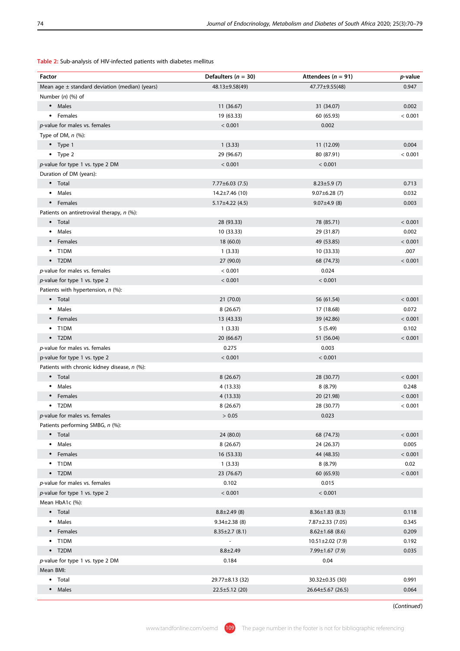Table 2: Sub-analysis of HIV-infected patients with diabetes mellitus

| Factor                                             | Defaulters ( $n = 30$ )<br>Attendees ( $n = 91$ ) |                         | <i>p</i> -value |  |
|----------------------------------------------------|---------------------------------------------------|-------------------------|-----------------|--|
| Mean age $\pm$ standard deviation (median) (years) | 48.13±9.58(49)                                    | 47.77±9.55(48)          | 0.947           |  |
| Number $(n)$ $(\%)$ of                             |                                                   |                         |                 |  |
| • Males                                            | 11 (36.67)                                        | 31 (34.07)              | 0.002           |  |
| • Females                                          | 19 (63.33)<br>60 (65.93)                          |                         | < 0.001         |  |
| p-value for males vs. females                      | < 0.001<br>0.002                                  |                         |                 |  |
| Type of DM, $n$ (%):                               |                                                   |                         |                 |  |
| • Type 1                                           | 1(3.33)                                           | 11 (12.09)              | 0.004           |  |
| • Type $2$                                         | 29 (96.67)                                        | 80 (87.91)              | < 0.001         |  |
| p-value for type 1 vs. type 2 DM                   | < 0.001                                           | < 0.001                 |                 |  |
| Duration of DM (years):                            |                                                   |                         |                 |  |
| • Total                                            | $7.77\pm 6.03(7.5)$                               | $8.23 \pm 5.9$ (7)      | 0.713           |  |
| • Males                                            | $14.2 \pm 7.46$ (10)                              | $9.07 \pm 6.28$ (7)     | 0.032           |  |
| • Females                                          | $5.17\pm4.22$ (4.5)                               | $9.07 \pm 4.9$ (8)      | 0.003           |  |
| Patients on antiretroviral therapy, n (%):         |                                                   |                         |                 |  |
| • Total                                            | 28 (93.33)                                        | 78 (85.71)              | < 0.001         |  |
| Males                                              | 10 (33.33)                                        | 29 (31.87)              | 0.002           |  |
| • Females                                          | 18 (60.0)                                         | 49 (53.85)              | < 0.001         |  |
| • T1DM                                             | 1(3.33)                                           | 10 (33.33)              | .007            |  |
| • T2DM                                             | 27 (90.0)                                         | 68 (74.73)              | < 0.001         |  |
| p-value for males vs. females                      | < 0.001                                           | 0.024                   |                 |  |
| p-value for type 1 vs. type 2                      | < 0.001                                           | < 0.001                 |                 |  |
| Patients with hypertension, n (%):                 |                                                   |                         |                 |  |
| • Total                                            | 21 (70.0)                                         | 56 (61.54)              | < 0.001         |  |
| • Males                                            | 8(26.67)                                          | 17 (18.68)              | 0.072           |  |
| • Females                                          | 13 (43.33)                                        | 39 (42.86)              | < 0.001         |  |
| $\bullet$ T1DM                                     | 1(3.33)                                           | 5 (5.49)                | 0.102           |  |
| • T2DM                                             | 20 (66.67)                                        | 51 (56.04)              | < 0.001         |  |
| p-value for males vs. females                      | 0.275                                             | 0.003                   |                 |  |
| p-value for type 1 vs. type 2                      | < 0.001                                           | < 0.001                 |                 |  |
| Patients with chronic kidney disease, n (%):       |                                                   |                         |                 |  |
| • Total                                            | 8(26.67)                                          | 28 (30.77)              | < 0.001         |  |
| • Males                                            | 4 (13.33)                                         | 8(8.79)                 | 0.248           |  |
| • Females                                          | 4 (13.33)                                         | 20 (21.98)              | < 0.001         |  |
| $\bullet$ T <sub>2</sub> DM                        | 8(26.67)                                          | 28 (30.77)              | < 0.001         |  |
| <i>p</i> -value for males vs. females              | > 0.05                                            | 0.023                   |                 |  |
| Patients performing SMBG, n (%):                   |                                                   |                         |                 |  |
| • Total                                            | 24 (80.0)                                         | 68 (74.73)              | < 0.001         |  |
| • Males                                            | 8(26.67)                                          | 24 (26.37)              | 0.005           |  |
| • Females                                          | 16 (53.33)                                        | 44 (48.35)              | < 0.001         |  |
| • T1DM                                             | 1(3.33)                                           | 8(8.79)                 | 0.02            |  |
| $\bullet$ T2DM                                     | 23 (76.67)                                        | 60 (65.93)              | < 0.001         |  |
| p-value for males vs. females                      | 0.102                                             | 0.015                   |                 |  |
| p-value for type 1 vs. type 2                      | < 0.001                                           | < 0.001                 |                 |  |
| Mean HbA1c (%):                                    |                                                   |                         |                 |  |
| • Total                                            | $8.8 \pm 2.49$ (8)                                | $8.36 \pm 1.83$ (8.3)   | 0.118           |  |
| • Males                                            | $9.34 \pm 2.38$ (8)                               | $7.87 \pm 2.33$ (7.05)  | 0.345           |  |
| • Females                                          | $8.35 \pm 2.7$ (8.1)                              | $8.62 \pm 1.68$ (8.6)   | 0.209           |  |
| • T1DM                                             | $\blacksquare$                                    | $10.51 \pm 2.02$ (7.9)  | 0.192           |  |
| $\bullet$ T2DM                                     | $8.8 \pm 2.49$                                    | $7.99 \pm 1.67$ (7.9)   | 0.035           |  |
| p-value for type 1 vs. type 2 DM                   | 0.184                                             | 0.04                    |                 |  |
| Mean BMI:                                          |                                                   |                         |                 |  |
| • Total                                            | 29.77±8.13 (32)                                   | 30.32±0.35 (30)         | 0.991           |  |
| • Males                                            | $22.5 \pm 5.12$ (20)                              | $26.64 \pm 5.67$ (26.5) | 0.064           |  |

(Continued)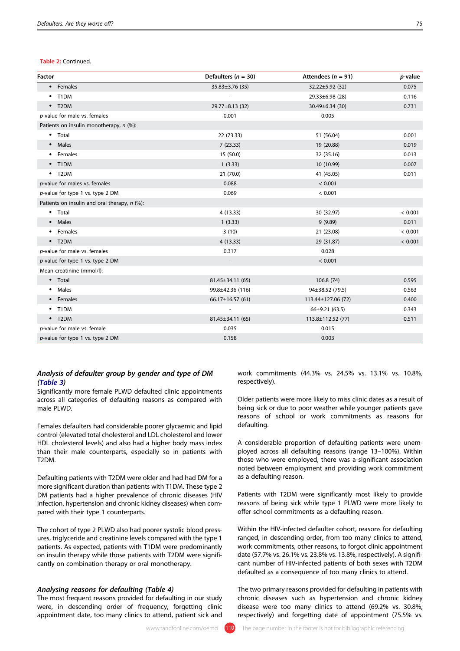## Table 2: Continued.

| Factor                                       | Defaulters ( $n = 30$ )  | Attendees ( $n = 91$ ) | p-value |
|----------------------------------------------|--------------------------|------------------------|---------|
| • Females                                    | $35.83 \pm 3.76$ (35)    | 32.22±5.92 (32)        | 0.075   |
| $\bullet$ T1DM                               | $\bar{\phantom{a}}$      | 29.33±6.98 (28)        | 0.116   |
| $\bullet$ T <sub>2</sub> DM                  | 29.77±8.13 (32)          | 30.49±6.34 (30)        | 0.731   |
| p-value for male vs. females                 | 0.001                    | 0.005                  |         |
| Patients on insulin monotherapy, n (%):      |                          |                        |         |
| • Total                                      | 22 (73.33)               | 51 (56.04)             | 0.001   |
| Males<br>$\bullet$                           | 7(23.33)                 | 19 (20.88)             | 0.019   |
| Females                                      | 15(50.0)                 | 32 (35.16)             | 0.013   |
| • T1DM                                       | 1(3.33)                  | 10 (10.99)             | 0.007   |
| $\bullet$ T <sub>2</sub> DM                  | 21 (70.0)                | 41 (45.05)             | 0.011   |
| p-value for males vs. females                | 0.088                    | < 0.001                |         |
| p-value for type 1 vs. type 2 DM             | 0.069                    | < 0.001                |         |
| Patients on insulin and oral therapy, n (%): |                          |                        |         |
| • Total                                      | 4 (13.33)                | 30 (32.97)             | < 0.001 |
| Males<br>$\bullet$                           | 1(3.33)                  | 9(9.89)                | 0.011   |
| Females                                      | 3(10)                    | 21 (23.08)             | < 0.001 |
| $\bullet$ T <sub>2</sub> DM                  | 4(13.33)                 | 29 (31.87)             | < 0.001 |
| p-value for male vs. females                 | 0.317                    | 0.028                  |         |
| p-value for type 1 vs. type 2 DM             | $\overline{\phantom{a}}$ | < 0.001                |         |
| Mean creatinine (mmol/l):                    |                          |                        |         |
| • Total                                      | 81.45±34.11 (65)         | 106.8(74)              | 0.595   |
| Males<br>٠                                   | $99.8 \pm 42.36$ (116)   | $94\pm38.52(79.5)$     | 0.563   |
| Females                                      | $66.17 \pm 16.57$ (61)   | 113.44±127.06 (72)     | 0.400   |
| T1DM<br>٠                                    | $\overline{\phantom{a}}$ | $66\pm9.21(63.5)$      | 0.343   |
| $\bullet$ T <sub>2</sub> DM                  | $81.45 \pm 34.11(65)$    | 113.8±112.52 (77)      | 0.511   |
| p-value for male vs. female                  | 0.035                    | 0.015                  |         |
| p-value for type 1 vs. type 2 DM             | 0.158                    | 0.003                  |         |

# Analysis of defaulter group by gender and type of DM (Table 3)

Significantly more female PLWD defaulted clinic appointments across all categories of defaulting reasons as compared with male PLWD.

Females defaulters had considerable poorer glycaemic and lipid control (elevated total cholesterol and LDL cholesterol and lower HDL cholesterol levels) and also had a higher body mass index than their male counterparts, especially so in patients with T2DM.

Defaulting patients with T2DM were older and had had DM for a more significant duration than patients with T1DM. These type 2 DM patients had a higher prevalence of chronic diseases (HIV infection, hypertension and chronic kidney diseases) when compared with their type 1 counterparts.

The cohort of type 2 PLWD also had poorer systolic blood pressures, triglyceride and creatinine levels compared with the type 1 patients. As expected, patients with T1DM were predominantly on insulin therapy while those patients with T2DM were significantly on combination therapy or oral monotherapy.

# Analysing reasons for defaulting (Table 4)

The most frequent reasons provided for defaulting in our study were, in descending order of frequency, forgetting clinic appointment date, too many clinics to attend, patient sick and work commitments (44.3% vs. 24.5% vs. 13.1% vs. 10.8%, respectively).

Older patients were more likely to miss clinic dates as a result of being sick or due to poor weather while younger patients gave reasons of school or work commitments as reasons for defaulting.

A considerable proportion of defaulting patients were unemployed across all defaulting reasons (range 13–100%). Within those who were employed, there was a significant association noted between employment and providing work commitment as a defaulting reason.

Patients with T2DM were significantly most likely to provide reasons of being sick while type 1 PLWD were more likely to offer school commitments as a defaulting reason.

Within the HIV-infected defaulter cohort, reasons for defaulting ranged, in descending order, from too many clinics to attend, work commitments, other reasons, to forgot clinic appointment date (57.7% vs. 26.1% vs. 23.8% vs. 13.8%, respectively). A significant number of HIV-infected patients of both sexes with T2DM defaulted as a consequence of too many clinics to attend.

The two primary reasons provided for defaulting in patients with chronic diseases such as hypertension and chronic kidney disease were too many clinics to attend (69.2% vs. 30.8%, respectively) and forgetting date of appointment (75.5% vs.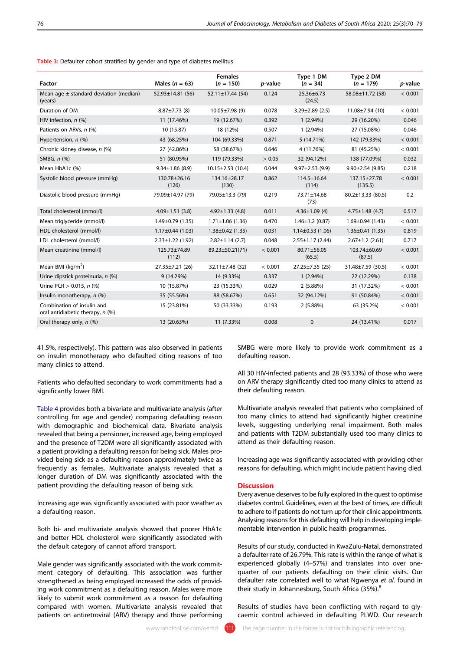| Factor                                                         | Males $(n = 63)$       | <b>Females</b><br>$(n = 150)$ | p-value | Type 1 DM<br>$(n = 34)$    | Type 2 DM<br>$(n = 179)$      | <i>p</i> -value |
|----------------------------------------------------------------|------------------------|-------------------------------|---------|----------------------------|-------------------------------|-----------------|
| Mean age $\pm$ standard deviation (median)<br>(years)          | $52.93 \pm 14.81$ (56) | 52.11±17.44 (54)              | 0.124   | $25.36 \pm 6.73$<br>(24.5) | 58.08±11.72 (58)              | < 0.001         |
| Duration of DM                                                 | $8.87 \pm 7.73$ (8)    | $10.05 \pm 7.98$ (9)          | 0.078   | $3.29 \pm 2.89$ (2.5)      | $11.08 \pm 7.94$ (10)         | < 0.001         |
| HIV infection, $n$ (%)                                         | 11 (17.46%)            | 19 (12.67%)                   | 0.392   | $1(2.94\%)$                | 29 (16.20%)                   | 0.046           |
| Patients on ARVs, n (%)                                        | 10 (15.87)             | 18 (12%)                      | 0.507   | $1(2.94\%)$                | 27 (15.08%)                   | 0.046           |
| Hypertension, n (%)                                            | 43 (68.25%)            | 104 (69.33%)                  | 0.871   | 5 (14.71%)                 | 142 (79.33%)                  | < 0.001         |
| Chronic kidney disease, n (%)                                  | 27 (42.86%)            | 58 (38.67%)                   | 0.646   | 4 (11.76%)                 | 81 (45.25%)                   | < 0.001         |
| SMBG, n (%)                                                    | 51 (80.95%)            | 119 (79.33%)                  | > 0.05  | 32 (94.12%)                | 138 (77.09%)                  | 0.032           |
| Mean HbA1c (%)                                                 | $9.34 \pm 1.86$ (8.9)  | $10.15 \pm 2.53$ (10.4)       | 0.044   | $9.97 \pm 2.53$ (9.9)      | $9.90 \pm 2.54$ (9.85)        | 0.218           |
| Systolic blood pressure (mmHq)                                 | 130.78±26.16<br>(126)  | 134.16±28.17<br>(130)         | 0.862   | 114.5±16.64<br>(114)       | $137.15 \pm 27.78$<br>(135.5) | < 0.001         |
| Diastolic blood pressure (mmHq)                                | 79.09±14.97 (79)       | 79.05±13.3 (79)               | 0.219   | 73.71±14.68<br>(73)        | $80.2 \pm 13.33$ (80.5)       | 0.2             |
| Total cholesterol (mmol/l)                                     | $4.09 \pm 1.51$ (3.8)  | $4.92 \pm 1.33$ (4.8)         | 0.011   | $4.36 \pm 1.09$ (4)        | $4.75 \pm 1.48$ (4.7)         | 0.517           |
| Mean triglyceride (mmol/l)                                     | $1.49 \pm 0.79$ (1.35) | $1.71 \pm 1.06$ (1.36)        | 0.470   | $1.46 \pm 1.2$ (0.87)      | $1.69 \pm 0.94$ (1.43)        | < 0.001         |
| HDL cholesterol (mmol/l)                                       | $1.17 \pm 0.44$ (1.03) | $1.38 \pm 0.42$ (1.35)        | 0.031   | $1.14 \pm 0.53$ (1.06)     | $1.36 \pm 0.41$ (1.35)        | 0.819           |
| LDL cholesterol (mmol/l)                                       | $2.33 \pm 1.22$ (1.92) | $2.82 \pm 1.14$ (2.7)         | 0.048   | $2.55 \pm 1.17$ (2.44)     | $2.67 \pm 1.2$ (2.61)         | 0.717           |
| Mean creatinine (mmol/l)                                       | 125.73±74.89<br>(112)  | 89.23±50.21(71)               | < 0.001 | 80.71±56.05<br>(65.5)      | 103.74±60.69<br>(87.5)        | < 0.001         |
| Mean BMI ( $kg/m2$ )                                           | 27.35±7.21 (26)        | 32.11±7.48 (32)               | < 0.001 | $27.25 \pm 7.35$ (25)      | 31.48±7.59 (30.5)             | < 0.001         |
| Urine dipstick proteinuria, n (%)                              | 9 (14.29%)             | 14 (9.33%)                    | 0.337   | $1(2.94\%)$                | 22 (12.29%)                   | 0.138           |
| Urine PCR $> 0.015$ , n (%)                                    | 10 (15.87%)            | 23 (15.33%)                   | 0.029   | 2(5.88%)                   | 31 (17.32%)                   | < 0.001         |
| Insulin monotherapy, $n$ (%)                                   | 35 (55.56%)            | 88 (58.67%)                   | 0.651   | 32 (94.12%)                | 91 (50.84%)                   | < 0.001         |
| Combination of insulin and<br>oral antidiabetic therapy, n (%) | 15 (23.81%)            | 50 (33.33%)                   | 0.193   | 2(5.88%)                   | 63 (35.2%)                    | < 0.001         |
| Oral therapy only, n (%)                                       | 13 (20.63%)            | 11 (7.33%)                    | 0.008   | $\mathbf 0$                | 24 (13.41%)                   | 0.017           |

Table 3: Defaulter cohort stratified by gender and type of diabetes mellitus

41.5%, respectively). This pattern was also observed in patients on insulin monotherapy who defaulted citing reasons of too many clinics to attend.

Patients who defaulted secondary to work commitments had a significantly lower BMI.

Table 4 provides both a bivariate and multivariate analysis (after controlling for age and gender) comparing defaulting reason with demographic and biochemical data. Bivariate analysis revealed that being a pensioner, increased age, being employed and the presence of T2DM were all significantly associated with a patient providing a defaulting reason for being sick. Males provided being sick as a defaulting reason approximately twice as frequently as females. Multivariate analysis revealed that a longer duration of DM was significantly associated with the patient providing the defaulting reason of being sick.

Increasing age was significantly associated with poor weather as a defaulting reason.

Both bi- and multivariate analysis showed that poorer HbA1c and better HDL cholesterol were significantly associated with the default category of cannot afford transport.

Male gender was significantly associated with the work commitment category of defaulting. This association was further strengthened as being employed increased the odds of providing work commitment as a defaulting reason. Males were more likely to submit work commitment as a reason for defaulting compared with women. Multivariate analysis revealed that patients on antiretroviral (ARV) therapy and those performing

SMBG were more likely to provide work commitment as a defaulting reason.

All 30 HIV-infected patients and 28 (93.33%) of those who were on ARV therapy significantly cited too many clinics to attend as their defaulting reason.

Multivariate analysis revealed that patients who complained of too many clinics to attend had significantly higher creatinine levels, suggesting underlying renal impairment. Both males and patients with T2DM substantially used too many clinics to attend as their defaulting reason.

Increasing age was significantly associated with providing other reasons for defaulting, which might include patient having died.

# **Discussion**

Every avenue deserves to be fully explored in the quest to optimise diabetes control. Guidelines, even at the best of times, are difficult to adhere to if patients do not turn up for their clinic appointments. Analysing reasons for this defaulting will help in developing implementable intervention in public health programmes.

Results of our study, conducted in KwaZulu-Natal, demonstrated a defaulter rate of 26.79%. This rate is within the range of what is experienced globally (4–57%) and translates into over onequarter of our patients defaulting on their clinic visits. Our defaulter rate correlated well to what Ngwenya et al. found in their study in Johannesburg, South Africa (35%).<sup>8</sup>

Results of studies have been conflicting with regard to glycaemic control achieved in defaulting PLWD. Our research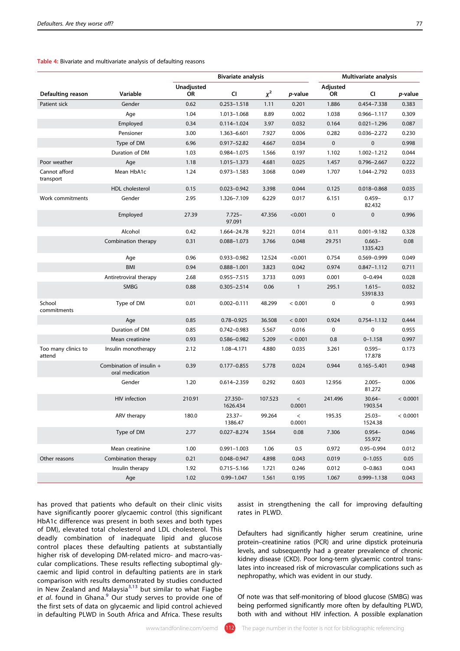#### Table 4: Bivariate and multivariate analysis of defaulting reasons

|                               |                                             | <b>Bivariate analysis</b> |                     |         |                 | Multivariate analysis |                       |          |
|-------------------------------|---------------------------------------------|---------------------------|---------------------|---------|-----------------|-----------------------|-----------------------|----------|
| Defaulting reason             | Variable                                    | Unadjusted<br><b>OR</b>   | CI                  | $x^2$   | p-value         | Adjusted<br><b>OR</b> | CI.                   | p-value  |
| Patient sick                  | Gender                                      | 0.62                      | $0.253 - 1.518$     | 1.11    | 0.201           | 1.886                 | 0.454-7.338           | 0.383    |
|                               | Age                                         | 1.04                      | 1.013-1.068         | 8.89    | 0.002           | 1.038                 | $0.966 - 1.117$       | 0.309    |
|                               | Employed                                    | 0.34                      | $0.114 - 1.024$     | 3.97    | 0.032           | 0.164                 | $0.021 - 1.296$       | 0.087    |
|                               | Pensioner                                   | 3.00                      | 1.363-6.601         | 7.927   | 0.006           | 0.282                 | $0.036 - 2.272$       | 0.230    |
|                               | Type of DM                                  | 6.96                      | 0.917-52.82         | 4.667   | 0.034           | 0                     | $\pmb{0}$             | 0.998    |
|                               | Duration of DM                              | 1.03                      | 0.984-1.075         | 1.566   | 0.197           | 1.102                 | 1.002-1.212           | 0.044    |
| Poor weather                  | Age                                         | 1.18                      | 1.015-1.373         | 4.681   | 0.025           | 1.457                 | $0.796 - 2.667$       | 0.222    |
| Cannot afford<br>transport    | Mean HbA1c                                  | 1.24                      | $0.973 - 1.583$     | 3.068   | 0.049           | 1.707                 | 1.044-2.792           | 0.033    |
|                               | HDL cholesterol                             | 0.15                      | $0.023 - 0.942$     | 3.398   | 0.044           | 0.125                 | $0.018 - 0.868$       | 0.035    |
| Work commitments              | Gender                                      | 2.95                      | 1.326-7.109         | 6.229   | 0.017           | 6.151                 | $0.459 -$<br>82.432   | 0.17     |
|                               | Employed                                    | 27.39                     | $7.725 -$<br>97.091 | 47.356  | < 0.001         | $\pmb{0}$             | 0                     | 0.996    |
|                               | Alcohol                                     | 0.42                      | 1.664-24.78         | 9.221   | 0.014           | 0.11                  | $0.001 - 9.182$       | 0.328    |
|                               | Combination therapy                         | 0.31                      | $0.088 - 1.073$     | 3.766   | 0.048           | 29.751                | $0.663 -$<br>1335.423 | 0.08     |
|                               | Age                                         | 0.96                      | 0.933-0.982         | 12.524  | < 0.001         | 0.754                 | 0.569-0.999           | 0.049    |
|                               | <b>BMI</b>                                  | 0.94                      | $0.888 - 1.001$     | 3.823   | 0.042           | 0.974                 | $0.847 - 1.112$       | 0.711    |
|                               | Antiretroviral therapy                      | 2.68                      | 0.955-7.515         | 3.733   | 0.093           | 0.001                 | $0 - 0.494$           | 0.028    |
|                               | <b>SMBG</b>                                 | 0.88                      | $0.305 - 2.514$     | 0.06    | $\mathbf{1}$    | 295.1                 | $1.615-$<br>53918.33  | 0.032    |
| School<br>commitments         | Type of DM                                  | 0.01                      | $0.002 - 0.111$     | 48.299  | < 0.001         | 0                     | 0                     | 0.993    |
|                               | Age                                         | 0.85                      | $0.78 - 0.925$      | 36.508  | < 0.001         | 0.924                 | 0.754-1.132           | 0.444    |
|                               | Duration of DM                              | 0.85                      | $0.742 - 0.983$     | 5.567   | 0.016           | 0                     | 0                     | 0.955    |
|                               | Mean creatinine                             | 0.93                      | 0.586-0.982         | 5.209   | < 0.001         | 0.8                   | $0 - 1.158$           | 0.997    |
| Too many clinics to<br>attend | Insulin monotherapy                         | 2.12                      | 1.08-4.171          | 4.880   | 0.035           | 3.261                 | $0.595 -$<br>17.878   | 0.173    |
|                               | Combination of insulin +<br>oral medication | 0.39                      | $0.177 - 0.855$     | 5.778   | 0.024           | 0.944                 | $0.165 - 5.401$       | 0.948    |
|                               | Gender                                      | 1.20                      | 0.614-2.359         | 0.292   | 0.603           | 12.956                | $2.005 -$<br>81.272   | 0.006    |
|                               | HIV infection                               | 210.91                    | 27.350-<br>1626.434 | 107.523 | $\,<$<br>0.0001 | 241.496               | $30.64 -$<br>1903.54  | < 0.0001 |
|                               | ARV therapy                                 | 180.0                     | $23.37-$<br>1386.47 | 99.264  | $\lt$<br>0.0001 | 195.35                | $25.03 -$<br>1524.38  | < 0.0001 |
|                               | Type of DM                                  | 2.77                      | $0.027 - 8.274$     | 3.564   | 0.08            | 7.306                 | $0.954 -$<br>55.972   | 0.046    |
|                               | Mean creatinine                             | 1.00                      | $0.991 - 1.003$     | 1.06    | $0.5\,$         | 0.972                 | 0.95-0.994            | 0.012    |
| Other reasons                 | Combination therapy                         | 0.21                      | 0.048-0.947         | 4.898   | 0.043           | 0.019                 | $0 - 1.055$           | 0.05     |
|                               | Insulin therapy                             | 1.92                      | 0.715-5.166         | 1.721   | 0.246           | 0.012                 | $0 - 0.863$           | 0.043    |
|                               | Age                                         | 1.02                      | $0.99 - 1.047$      | 1.561   | 0.195           | 1.067                 | 0.999-1.138           | 0.043    |

has proved that patients who default on their clinic visits have significantly poorer glycaemic control (this significant HbA1c difference was present in both sexes and both types of DM), elevated total cholesterol and LDL cholesterol. This deadly combination of inadequate lipid and glucose control places these defaulting patients at substantially higher risk of developing DM-related micro- and macro-vascular complications. These results reflecting suboptimal glycaemic and lipid control in defaulting patients are in stark comparison with results demonstrated by studies conducted in New Zealand and Malaysia<sup>3,13</sup> but similar to what Fiagbe et al. found in Ghana.<sup>9</sup> Our study serves to provide one of the first sets of data on glycaemic and lipid control achieved in defaulting PLWD in South Africa and Africa. These results

assist in strengthening the call for improving defaulting rates in PLWD.

Defaulters had significantly higher serum creatinine, urine protein–creatinine ratios (PCR) and urine dipstick proteinuria levels, and subsequently had a greater prevalence of chronic kidney disease (CKD). Poor long-term glycaemic control translates into increased risk of microvascular complications such as nephropathy, which was evident in our study.

Of note was that self-monitoring of blood glucose (SMBG) was being performed significantly more often by defaulting PLWD, both with and without HIV infection. A possible explanation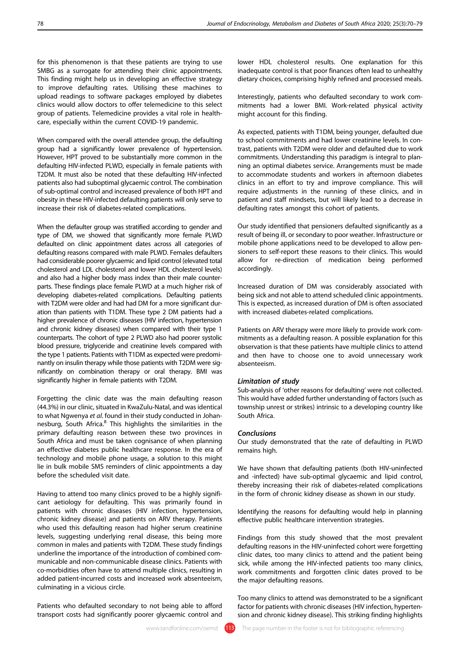for this phenomenon is that these patients are trying to use SMBG as a surrogate for attending their clinic appointments. This finding might help us in developing an effective strategy to improve defaulting rates. Utilising these machines to upload readings to software packages employed by diabetes clinics would allow doctors to offer telemedicine to this select group of patients. Telemedicine provides a vital role in healthcare, especially within the current COVID-19 pandemic.

When compared with the overall attendee group, the defaulting group had a significantly lower prevalence of hypertension. However, HPT proved to be substantially more common in the defaulting HIV-infected PLWD, especially in female patients with T2DM. It must also be noted that these defaulting HIV-infected patients also had suboptimal glycaemic control. The combination of sub-optimal control and increased prevalence of both HPT and obesity in these HIV-infected defaulting patients will only serve to increase their risk of diabetes-related complications.

When the defaulter group was stratified according to gender and type of DM, we showed that significantly more female PLWD defaulted on clinic appointment dates across all categories of defaulting reasons compared with male PLWD. Females defaulters had considerable poorer glycaemic and lipid control (elevated total cholesterol and LDL cholesterol and lower HDL cholesterol levels) and also had a higher body mass index than their male counterparts. These findings place female PLWD at a much higher risk of developing diabetes-related complications. Defaulting patients with T2DM were older and had had DM for a more significant duration than patients with T1DM. These type 2 DM patients had a higher prevalence of chronic diseases (HIV infection, hypertension and chronic kidney diseases) when compared with their type 1 counterparts. The cohort of type 2 PLWD also had poorer systolic blood pressure, triglyceride and creatinine levels compared with the type 1 patients. Patients with T1DM as expected were predominantly on insulin therapy while those patients with T2DM were significantly on combination therapy or oral therapy. BMI was significantly higher in female patients with T2DM.

Forgetting the clinic date was the main defaulting reason (44.3%) in our clinic, situated in KwaZulu-Natal, and was identical to what Ngwenya et al. found in their study conducted in Johannesburg, South Africa.<sup>8</sup> This highlights the similarities in the primary defaulting reason between these two provinces in South Africa and must be taken cognisance of when planning an effective diabetes public healthcare response. In the era of technology and mobile phone usage, a solution to this might lie in bulk mobile SMS reminders of clinic appointments a day before the scheduled visit date.

Having to attend too many clinics proved to be a highly significant aetiology for defaulting. This was primarily found in patients with chronic diseases (HIV infection, hypertension, chronic kidney disease) and patients on ARV therapy. Patients who used this defaulting reason had higher serum creatinine levels, suggesting underlying renal disease, this being more common in males and patients with T2DM. These study findings underline the importance of the introduction of combined communicable and non-communicable disease clinics. Patients with co-morbidities often have to attend multiple clinics, resulting in added patient-incurred costs and increased work absenteeism, culminating in a vicious circle.

Patients who defaulted secondary to not being able to afford transport costs had significantly poorer glycaemic control and

lower HDL cholesterol results. One explanation for this inadequate control is that poor finances often lead to unhealthy dietary choices, comprising highly refined and processed meals.

Interestingly, patients who defaulted secondary to work commitments had a lower BMI. Work-related physical activity might account for this finding.

As expected, patients with T1DM, being younger, defaulted due to school commitments and had lower creatinine levels. In contrast, patients with T2DM were older and defaulted due to work commitments. Understanding this paradigm is integral to planning an optimal diabetes service. Arrangements must be made to accommodate students and workers in afternoon diabetes clinics in an effort to try and improve compliance. This will require adjustments in the running of these clinics, and in patient and staff mindsets, but will likely lead to a decrease in defaulting rates amongst this cohort of patients.

Our study identified that pensioners defaulted significantly as a result of being ill, or secondary to poor weather. Infrastructure or mobile phone applications need to be developed to allow pensioners to self-report these reasons to their clinics. This would allow for re-direction of medication being performed accordingly.

Increased duration of DM was considerably associated with being sick and not able to attend scheduled clinic appointments. This is expected, as increased duration of DM is often associated with increased diabetes-related complications.

Patients on ARV therapy were more likely to provide work commitments as a defaulting reason. A possible explanation for this observation is that these patients have multiple clinics to attend and then have to choose one to avoid unnecessary work absenteeism.

## Limitation of study

Sub-analysis of 'other reasons for defaulting' were not collected. This would have added further understanding of factors (such as township unrest or strikes) intrinsic to a developing country like South Africa.

#### **Conclusions**

Our study demonstrated that the rate of defaulting in PLWD remains high.

We have shown that defaulting patients (both HIV-uninfected and -infected) have sub-optimal glycaemic and lipid control, thereby increasing their risk of diabetes-related complications in the form of chronic kidney disease as shown in our study.

Identifying the reasons for defaulting would help in planning effective public healthcare intervention strategies.

Findings from this study showed that the most prevalent defaulting reasons in the HIV-uninfected cohort were forgetting clinic dates, too many clinics to attend and the patient being sick, while among the HIV-infected patients too many clinics, work commitments and forgotten clinic dates proved to be the major defaulting reasons.

Too many clinics to attend was demonstrated to be a significant factor for patients with chronic diseases (HIV infection, hypertension and chronic kidney disease). This striking finding highlights